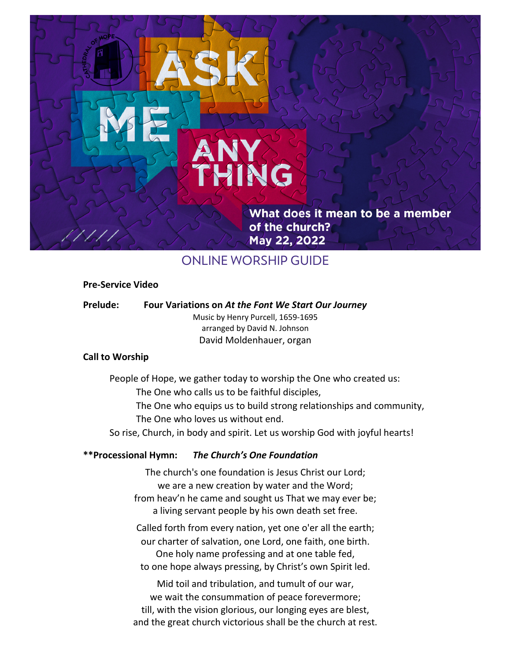What does it mean to be a member of the church? *Eastertide What Does It Mean to be a Member of the Church?*

# ONLINE WORSHIP GUIDE

**HNG** 

### **Pre-Service Video**

**Prelude: Four Variations on** *At the Font We Start Our Journey* Music by Henry Purcell, 1659-1695

arranged by David N. Johnson David Moldenhauer, organ

### **Call to Worship**

People of Hope, we gather today to worship the One who created us:

The One who calls us to be faithful disciples,

The One who equips us to build strong relationships and community, The One who loves us without end.

So rise, Church, in body and spirit. Let us worship God with joyful hearts!

# **\*\*Processional Hymn:** *The Church's One Foundation*

The church's one foundation is Jesus Christ our Lord; we are a new creation by water and the Word; from heav'n he came and sought us That we may ever be; a living servant people by his own death set free.

Called forth from every nation, yet one o'er all the earth; our charter of salvation, one Lord, one faith, one birth. One holy name professing and at one table fed, to one hope always pressing, by Christ's own Spirit led.

Mid toil and tribulation, and tumult of our war, we wait the consummation of peace forevermore; till, with the vision glorious, our longing eyes are blest, and the great church victorious shall be the church at rest.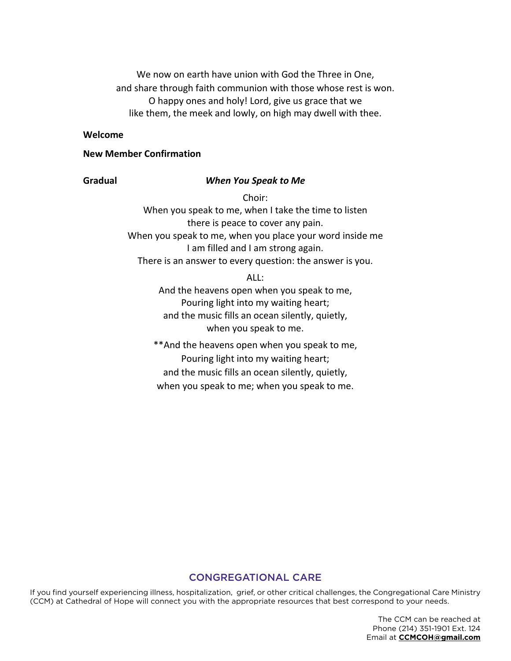We now on earth have union with God the Three in One, and share through faith communion with those whose rest is won. O happy ones and holy! Lord, give us grace that we like them, the meek and lowly, on high may dwell with thee.

#### **Welcome**

# **New Member Confirmation**

# **Gradual** *When You Speak to Me*

Choir: When you speak to me, when I take the time to listen there is peace to cover any pain. When you speak to me, when you place your word inside me I am filled and I am strong again. There is an answer to every question: the answer is you.

ALL:

And the heavens open when you speak to me, Pouring light into my waiting heart; and the music fills an ocean silently, quietly, when you speak to me.

\*\*And the heavens open when you speak to me, Pouring light into my waiting heart; and the music fills an ocean silently, quietly, when you speak to me; when you speak to me.

#### CONGREGATIONAL CARE

If you find yourself experiencing illness, hospitalization, grief, or other critical challenges, the Congregational Care Ministry (CCM) at Cathedral of Hope will connect you with the appropriate resources that best correspond to your needs.

> The CCM can be reached at Phone (214) 351-1901 Ext. 124 Email at **CCMCOH@gmail.com**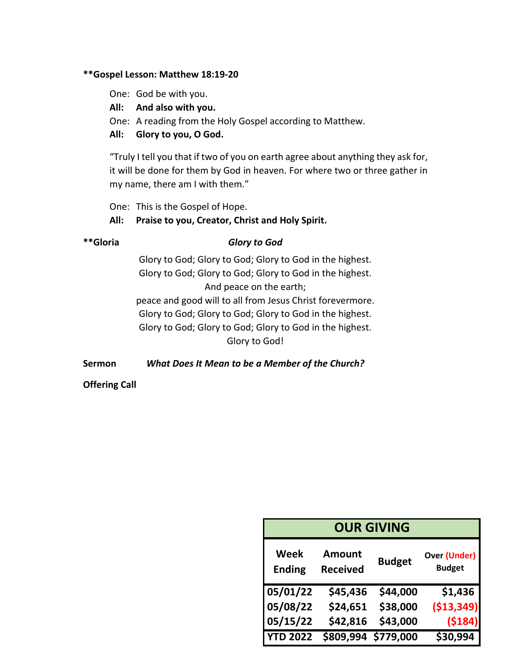# **\*\*Gospel Lesson: Matthew 18:19-20**

- One: God be with you.
- **All: And also with you.**
- One: A reading from the Holy Gospel according to Matthew.
- **All: Glory to you, O God.**

"Truly I tell you that if two of you on earth agree about anything they ask for, it will be done for them by God in heaven. For where two or three gather in my name, there am I with them."

One: This is the Gospel of Hope.

# **All: Praise to you, Creator, Christ and Holy Spirit.**

# **\*\*Gloria** *Glory to God*

Glory to God; Glory to God; Glory to God in the highest. Glory to God; Glory to God; Glory to God in the highest. And peace on the earth; peace and good will to all from Jesus Christ forevermore. Glory to God; Glory to God; Glory to God in the highest. Glory to God; Glory to God; Glory to God in the highest. Glory to God!

**Sermon** *What Does It Mean to be a Member of the Church?* 

**Offering Call**

| <b>OUR GIVING</b>     |                                  |               |                                      |
|-----------------------|----------------------------------|---------------|--------------------------------------|
| Week<br><b>Ending</b> | <b>Amount</b><br><b>Received</b> | <b>Budget</b> | <b>Over (Under)</b><br><b>Budget</b> |
| 05/01/22              | \$45,436                         | \$44,000      | \$1,436                              |
| 05/08/22              | \$24,651                         | \$38,000      | ( \$13, 349]                         |
| 05/15/22              | \$42,816                         | \$43,000      | ( \$184)                             |
| <b>YTD 2022</b>       | \$809,994                        | \$779,000     | \$30,994                             |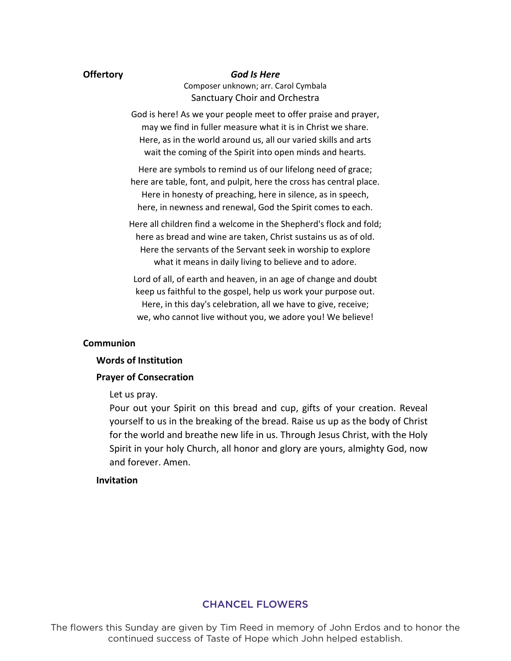#### **Offertory** *God Is Here*

Composer unknown; arr. Carol Cymbala Sanctuary Choir and Orchestra

God is here! As we your people meet to offer praise and prayer, may we find in fuller measure what it is in Christ we share. Here, as in the world around us, all our varied skills and arts wait the coming of the Spirit into open minds and hearts.

Here are symbols to remind us of our lifelong need of grace; here are table, font, and pulpit, here the cross has central place. Here in honesty of preaching, here in silence, as in speech, here, in newness and renewal, God the Spirit comes to each.

Here all children find a welcome in the Shepherd's flock and fold; here as bread and wine are taken, Christ sustains us as of old. Here the servants of the Servant seek in worship to explore what it means in daily living to believe and to adore.

Lord of all, of earth and heaven, in an age of change and doubt keep us faithful to the gospel, help us work your purpose out. Here, in this day's celebration, all we have to give, receive; we, who cannot live without you, we adore you! We believe!

#### **Communion**

#### **Words of Institution**

### **Prayer of Consecration**

Let us pray.

Pour out your Spirit on this bread and cup, gifts of your creation. Reveal yourself to us in the breaking of the bread. Raise us up as the body of Christ for the world and breathe new life in us. Through Jesus Christ, with the Holy Spirit in your holy Church, all honor and glory are yours, almighty God, now and forever. Amen.

#### **Invitation**

### CHANCEL FLOWERS

The flowers this Sunday are given by Tim Reed in memory of John Erdos and to honor the continued success of Taste of Hope which John helped establish.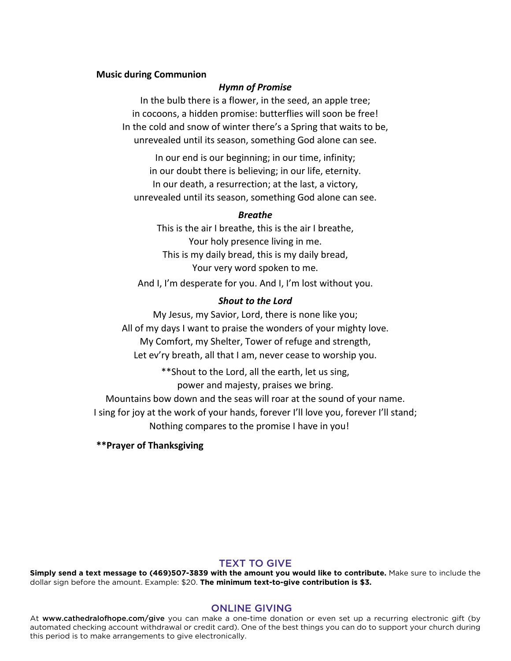#### **Music during Communion**

#### *Hymn of Promise*

In the bulb there is a flower, in the seed, an apple tree; in cocoons, a hidden promise: butterflies will soon be free! In the cold and snow of winter there's a Spring that waits to be, unrevealed until its season, something God alone can see.

In our end is our beginning; in our time, infinity; in our doubt there is believing; in our life, eternity. In our death, a resurrection; at the last, a victory, unrevealed until its season, something God alone can see.

#### *Breathe*

This is the air I breathe, this is the air I breathe, Your holy presence living in me. This is my daily bread, this is my daily bread, Your very word spoken to me.

And I, I'm desperate for you. And I, I'm lost without you.

#### *Shout to the Lord*

My Jesus, my Savior, Lord, there is none like you; All of my days I want to praise the wonders of your mighty love. My Comfort, my Shelter, Tower of refuge and strength, Let ev'ry breath, all that I am, never cease to worship you.

\*\*Shout to the Lord, all the earth, let us sing,

power and majesty, praises we bring.

Mountains bow down and the seas will roar at the sound of your name. I sing for joy at the work of your hands, forever I'll love you, forever I'll stand; Nothing compares to the promise I have in you!

**\*\*Prayer of Thanksgiving** 

#### TEXT TO GIVE

**Simply send a text message to (469)507-3839 with the amount you would like to contribute.** Make sure to include the dollar sign before the amount. Example: \$20. **The minimum text-to-give contribution is \$3.**

#### ONLINE GIVING

At www.cathedralofhope.com/give you can make a one-time donation or even set up a recurring electronic gift (by automated checking account withdrawal or credit card). One of the best things you can do to support your church during this period is to make arrangements to give electronically.